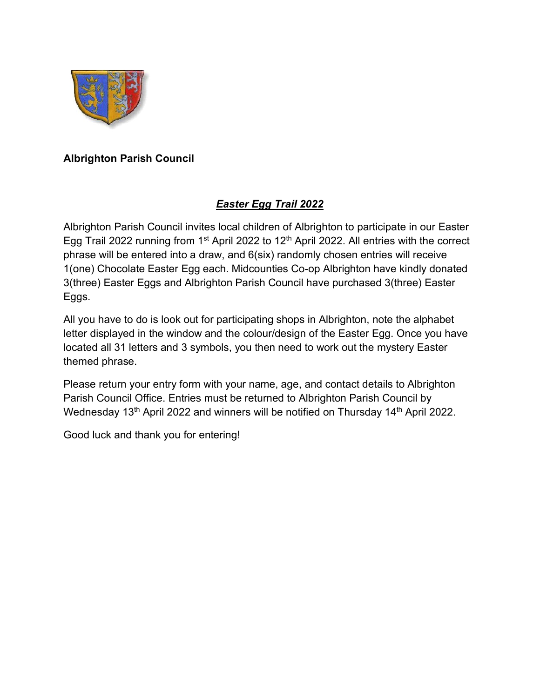

## **Albrighton Parish Council**

## *Easter Egg Trail 2022*

Albrighton Parish Council invites local children of Albrighton to participate in our Easter Egg Trail 2022 running from 1<sup>st</sup> April 2022 to 12<sup>th</sup> April 2022. All entries with the correct phrase will be entered into a draw, and 6(six) randomly chosen entries will receive 1(one) Chocolate Easter Egg each. Midcounties Co-op Albrighton have kindly donated 3(three) Easter Eggs and Albrighton Parish Council have purchased 3(three) Easter Eggs.

All you have to do is look out for participating shops in Albrighton, note the alphabet letter displayed in the window and the colour/design of the Easter Egg. Once you have located all 31 letters and 3 symbols, you then need to work out the mystery Easter themed phrase.

Please return your entry form with your name, age, and contact details to Albrighton Parish Council Office. Entries must be returned to Albrighton Parish Council by Wednesday 13<sup>th</sup> April 2022 and winners will be notified on Thursday 14<sup>th</sup> April 2022.

Good luck and thank you for entering!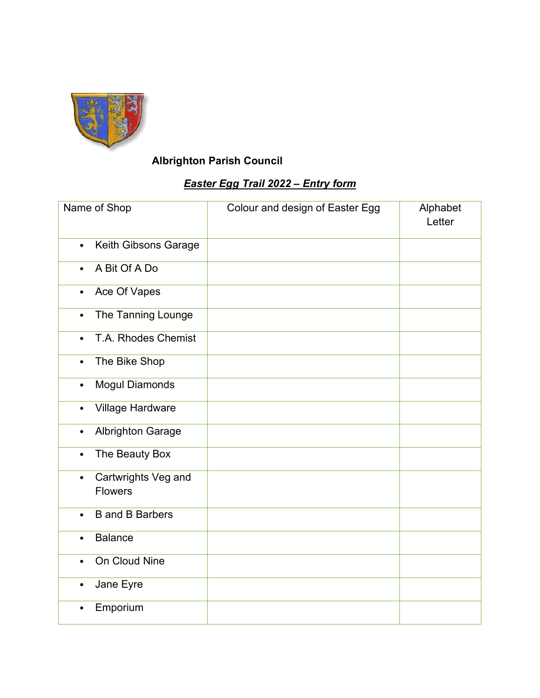

## **Albrighton Parish Council**

## *Easter Egg Trail 2022 – Entry form*

| Name of Shop                                       | Colour and design of Easter Egg | Alphabet<br>Letter |
|----------------------------------------------------|---------------------------------|--------------------|
| Keith Gibsons Garage<br>$\bullet$                  |                                 |                    |
| A Bit Of A Do<br>$\bullet$                         |                                 |                    |
| Ace Of Vapes<br>$\bullet$                          |                                 |                    |
| The Tanning Lounge<br>$\bullet$                    |                                 |                    |
| T.A. Rhodes Chemist<br>$\bullet$                   |                                 |                    |
| The Bike Shop<br>$\bullet$                         |                                 |                    |
| <b>Mogul Diamonds</b><br>$\bullet$                 |                                 |                    |
| Village Hardware<br>$\bullet$                      |                                 |                    |
| <b>Albrighton Garage</b><br>$\bullet$              |                                 |                    |
| The Beauty Box<br>$\bullet$                        |                                 |                    |
| Cartwrights Veg and<br>$\bullet$<br><b>Flowers</b> |                                 |                    |
| <b>B</b> and <b>B</b> Barbers<br>$\bullet$         |                                 |                    |
| <b>Balance</b><br>$\bullet$                        |                                 |                    |
| On Cloud Nine<br>$\bullet$                         |                                 |                    |
| Jane Eyre<br>$\bullet$                             |                                 |                    |
| Emporium                                           |                                 |                    |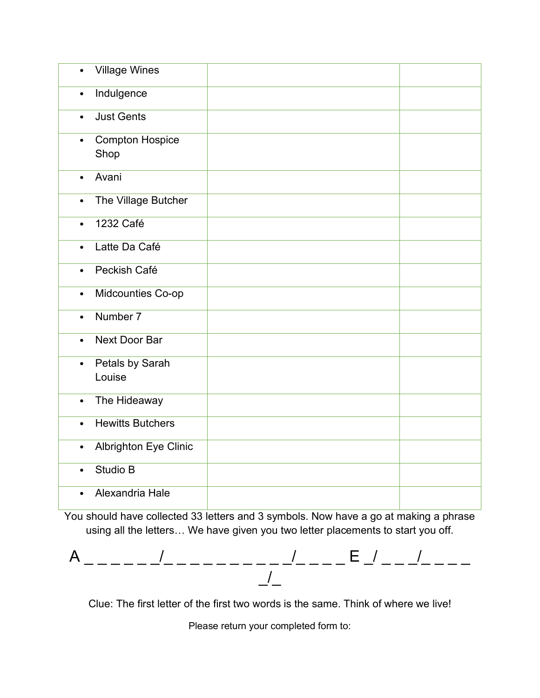| <b>Village Wines</b><br>$\bullet$           |  |
|---------------------------------------------|--|
| Indulgence<br>$\bullet$                     |  |
| <b>Just Gents</b><br>$\bullet$              |  |
| <b>Compton Hospice</b><br>$\bullet$<br>Shop |  |
| Avani<br>$\bullet$                          |  |
| The Village Butcher<br>$\bullet$            |  |
| <b>1232 Café</b><br>$\bullet$               |  |
| Latte Da Café<br>$\bullet$                  |  |
| Peckish Café<br>$\bullet$                   |  |
| Midcounties Co-op<br>$\bullet$              |  |
| Number 7<br>$\bullet$                       |  |
| <b>Next Door Bar</b><br>$\bullet$           |  |
| Petals by Sarah<br>$\bullet$<br>Louise      |  |
| The Hideaway<br>$\bullet$                   |  |
| <b>Hewitts Butchers</b><br>$\bullet$        |  |
| Albrighton Eye Clinic<br>$\bullet$          |  |
| Studio B<br>$\bullet$                       |  |
| Alexandria Hale<br>$\bullet$                |  |

You should have collected 33 letters and 3 symbols. Now have a go at making a phrase using all the letters… We have given you two letter placements to start you off.



Clue: The first letter of the first two words is the same. Think of where we live!

Please return your completed form to: